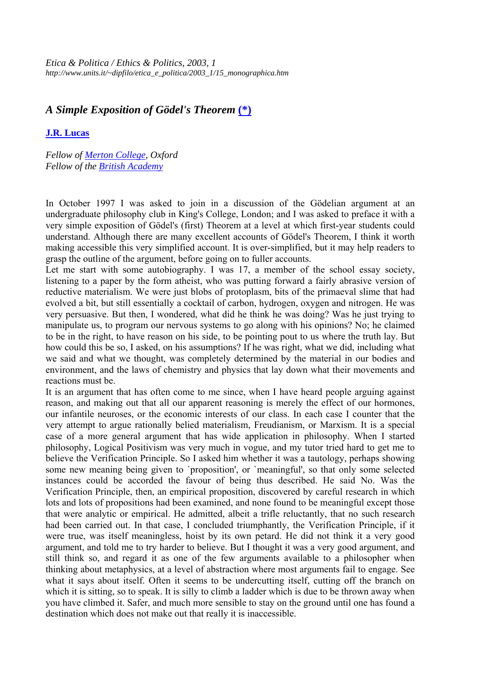*Etica & Politica / Ethics & Politics, 2003, 1 http://www.units.it/~dipfilo/etica\_e\_politica/2003\_1/15\_monographica.htm*

## *A Simple Exposition of Gödel's Theorem* **(\*)**

## **J.R. Lucas**

*Fellow of Merton College, Oxford Fellow of the British Academy* 

In October 1997 I was asked to join in a discussion of the Gödelian argument at an undergraduate philosophy club in King's College, London; and I was asked to preface it with a very simple exposition of Gödel's (first) Theorem at a level at which first-year students could understand. Although there are many excellent accounts of Gödel's Theorem, I think it worth making accessible this very simplified account. It is over-simplified, but it may help readers to grasp the outline of the argument, before going on to fuller accounts.

Let me start with some autobiography. I was 17, a member of the school essay society, listening to a paper by the form atheist, who was putting forward a fairly abrasive version of reductive materialism. We were just blobs of protoplasm, bits of the primaeval slime that had evolved a bit, but still essentially a cocktail of carbon, hydrogen, oxygen and nitrogen. He was very persuasive. But then, I wondered, what did he think he was doing? Was he just trying to manipulate us, to program our nervous systems to go along with his opinions? No; he claimed to be in the right, to have reason on his side, to be pointing pout to us where the truth lay. But how could this be so, I asked, on his assumptions? If he was right, what we did, including what we said and what we thought, was completely determined by the material in our bodies and environment, and the laws of chemistry and physics that lay down what their movements and reactions must be.

It is an argument that has often come to me since, when I have heard people arguing against reason, and making out that all our apparent reasoning is merely the effect of our hormones, our infantile neuroses, or the economic interests of our class. In each case I counter that the very attempt to argue rationally belied materialism, Freudianism, or Marxism. It is a special case of a more general argument that has wide application in philosophy. When I started philosophy, Logical Positivism was very much in vogue, and my tutor tried hard to get me to believe the Verification Principle. So I asked him whether it was a tautology, perhaps showing some new meaning being given to `proposition', or `meaningful', so that only some selected instances could be accorded the favour of being thus described. He said No. Was the Verification Principle, then, an empirical proposition, discovered by careful research in which lots and lots of propositions had been examined, and none found to be meaningful except those that were analytic or empirical. He admitted, albeit a trifle reluctantly, that no such research had been carried out. In that case, I concluded triumphantly, the Verification Principle, if it were true, was itself meaningless, hoist by its own petard. He did not think it a very good argument, and told me to try harder to believe. But I thought it was a very good argument, and still think so, and regard it as one of the few arguments available to a philosopher when thinking about metaphysics, at a level of abstraction where most arguments fail to engage. See what it says about itself. Often it seems to be undercutting itself, cutting off the branch on which it is sitting, so to speak. It is silly to climb a ladder which is due to be thrown away when you have climbed it. Safer, and much more sensible to stay on the ground until one has found a destination which does not make out that really it is inaccessible.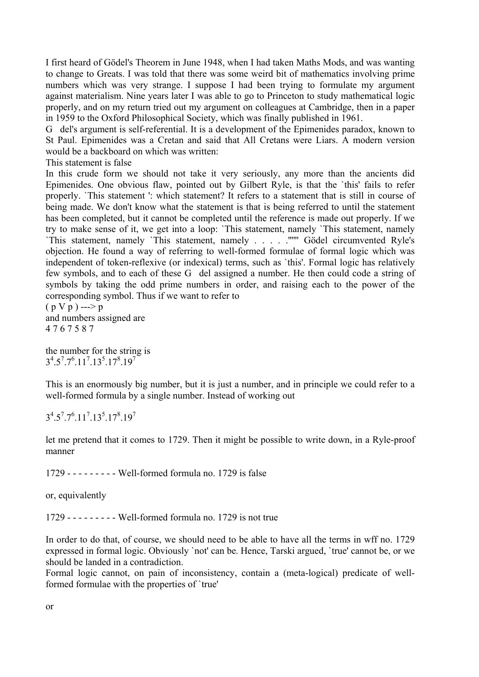I first heard of Gödel's Theorem in June 1948, when I had taken Maths Mods, and was wanting to change to Greats. I was told that there was some weird bit of mathematics involving prime numbers which was very strange. I suppose I had been trying to formulate my argument against materialism. Nine years later I was able to go to Princeton to study mathematical logic properly, and on my return tried out my argument on colleagues at Cambridge, then in a paper in 1959 to the Oxford Philosophical Society, which was finally published in 1961.

G del's argument is self-referential. It is a development of the Epimenides paradox, known to St Paul. Epimenides was a Cretan and said that All Cretans were Liars. A modern version would be a backboard on which was written:

This statement is false

In this crude form we should not take it very seriously, any more than the ancients did Epimenides. One obvious flaw, pointed out by Gilbert Ryle, is that the `this' fails to refer properly. `This statement ': which statement? It refers to a statement that is still in course of being made. We don't know what the statement is that is being referred to until the statement has been completed, but it cannot be completed until the reference is made out properly. If we try to make sense of it, we get into a loop: `This statement, namely `This statement, namely `This statement, namely `This statement, namely . . . . .'''''' Gödel circumvented Ryle's objection. He found a way of referring to well-formed formulae of formal logic which was independent of token-reflexive (or indexical) terms, such as `this'. Formal logic has relatively few symbols, and to each of these G del assigned a number. He then could code a string of symbols by taking the odd prime numbers in order, and raising each to the power of the corresponding symbol. Thus if we want to refer to

 $(p V p)$ --->p and numbers assigned are 4 7 6 7 5 8 7

the number for the string is  $3^4.5^7.7^6.11^7.13^5.17^8.19^7$ 

This is an enormously big number, but it is just a number, and in principle we could refer to a well-formed formula by a single number. Instead of working out

 $3^4.5^7.7^6.11^7.13^5.17^8.19^7$ 

let me pretend that it comes to 1729. Then it might be possible to write down, in a Ryle-proof manner

1729 - - - - - - - - - Well-formed formula no. 1729 is false

or, equivalently

1729 - - - - - - - - - Well-formed formula no. 1729 is not true

In order to do that, of course, we should need to be able to have all the terms in wff no. 1729 expressed in formal logic. Obviously `not' can be. Hence, Tarski argued, `true' cannot be, or we should be landed in a contradiction.

Formal logic cannot, on pain of inconsistency, contain a (meta-logical) predicate of wellformed formulae with the properties of `true'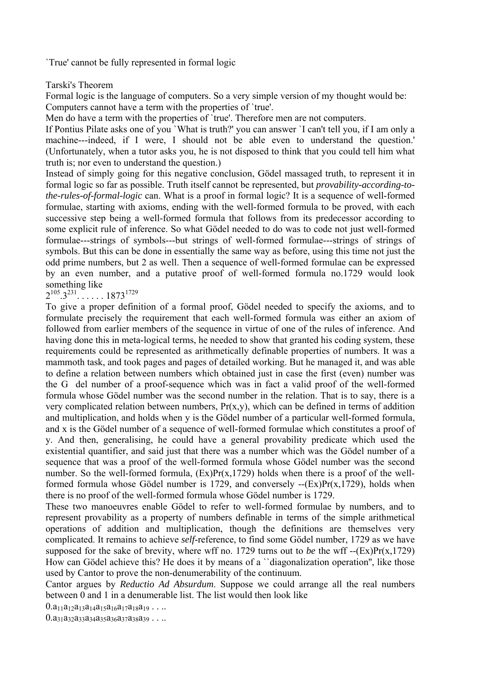`True' cannot be fully represented in formal logic

Tarski's Theorem

Formal logic is the language of computers. So a very simple version of my thought would be: Computers cannot have a term with the properties of `true'.

Men do have a term with the properties of 'true'. Therefore men are not computers.

If Pontius Pilate asks one of you `What is truth?' you can answer `I can't tell you, if I am only a machine---indeed, if I were, I should not be able even to understand the question.' (Unfortunately, when a tutor asks you, he is not disposed to think that you could tell him what truth is; nor even to understand the question.)

Instead of simply going for this negative conclusion, Gödel massaged truth, to represent it in formal logic so far as possible. Truth itself cannot be represented, but *provability-according-tothe-rules-of-formal-logic* can. What is a proof in formal logic? It is a sequence of well-formed formulae, starting with axioms, ending with the well-formed formula to be proved, with each successive step being a well-formed formula that follows from its predecessor according to some explicit rule of inference. So what Gödel needed to do was to code not just well-formed formulae---strings of symbols---but strings of well-formed formulae---strings of strings of symbols. But this can be done in essentially the same way as before, using this time not just the odd prime numbers, but 2 as well. Then a sequence of well-formed formulae can be expressed by an even number, and a putative proof of well-formed formula no.1729 would look something like

 $2^{105}$ ,  $3^{231}$ , . . . . . 1873<sup>1729</sup>

To give a proper definition of a formal proof, Gödel needed to specify the axioms, and to formulate precisely the requirement that each well-formed formula was either an axiom of followed from earlier members of the sequence in virtue of one of the rules of inference. And having done this in meta-logical terms, he needed to show that granted his coding system, these requirements could be represented as arithmetically definable properties of numbers. It was a mammoth task, and took pages and pages of detailed working. But he managed it, and was able to define a relation between numbers which obtained just in case the first (even) number was the G del number of a proof-sequence which was in fact a valid proof of the well-formed formula whose Gödel number was the second number in the relation. That is to say, there is a very complicated relation between numbers,  $Pr(x,y)$ , which can be defined in terms of addition and multiplication, and holds when y is the Gödel number of a particular well-formed formula, and x is the Gödel number of a sequence of well-formed formulae which constitutes a proof of y. And then, generalising, he could have a general provability predicate which used the existential quantifier, and said just that there was a number which was the Gödel number of a sequence that was a proof of the well-formed formula whose Gödel number was the second number. So the well-formed formula,  $(Ex)Pr(x,1729)$  holds when there is a proof of the wellformed formula whose Gödel number is 1729, and conversely  $-(Ex)Pr(x,1729)$ , holds when there is no proof of the well-formed formula whose Gödel number is 1729.

These two manoeuvres enable Gödel to refer to well-formed formulae by numbers, and to represent provability as a property of numbers definable in terms of the simple arithmetical operations of addition and multiplication, though the definitions are themselves very complicated. It remains to achieve *self*-reference, to find some Gödel number, 1729 as we have supposed for the sake of brevity, where wff no. 1729 turns out to *be* the wff  $-(Ex)Pr(x,1729)$ How can Gödel achieve this? He does it by means of a ``diagonalization operation'', like those used by Cantor to prove the non-denumerability of the continuum.

Cantor argues by *Reductio Ad Absurdum*. Suppose we could arrange all the real numbers between 0 and 1 in a denumerable list. The list would then look like

 $0.a_{11}a_{12}a_{13}a_{14}a_{15}a_{16}a_{17}a_{18}a_{19}...$ 

 $0.a_{31}a_{32}a_{33}a_{34}a_{35}a_{36}a_{37}a_{38}a_{39}...$